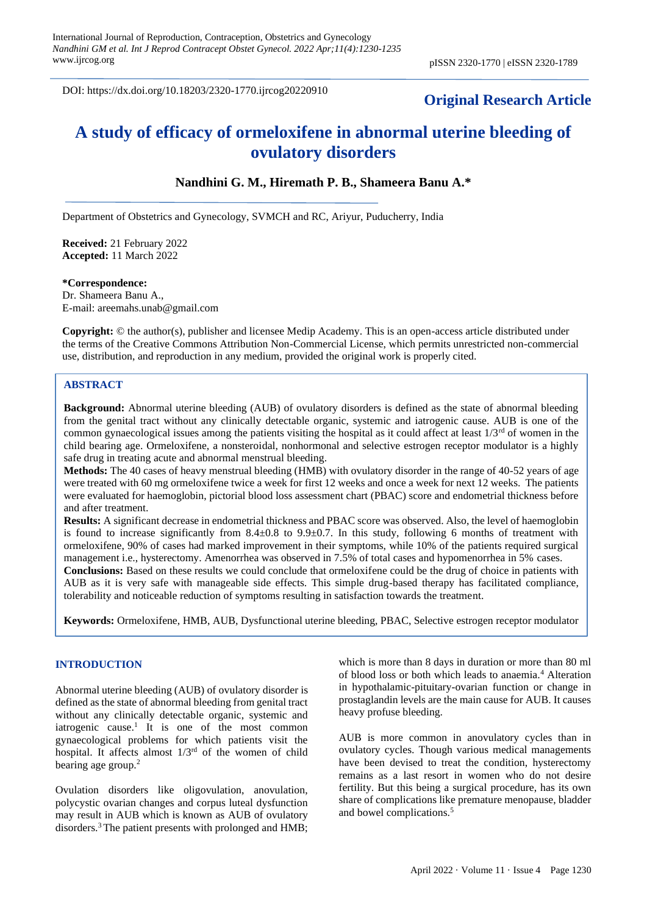DOI: https://dx.doi.org/10.18203/2320-1770.ijrcog20220910

## **Original Research Article**

# **A study of efficacy of ormeloxifene in abnormal uterine bleeding of ovulatory disorders**

## **Nandhini G. M., Hiremath P. B., Shameera Banu A.\***

Department of Obstetrics and Gynecology, SVMCH and RC, Ariyur, Puducherry, India

**Received:** 21 February 2022 **Accepted:** 11 March 2022

#### **\*Correspondence:**

Dr. Shameera Banu A., E-mail: areemahs.unab@gmail.com

**Copyright:** © the author(s), publisher and licensee Medip Academy. This is an open-access article distributed under the terms of the Creative Commons Attribution Non-Commercial License, which permits unrestricted non-commercial use, distribution, and reproduction in any medium, provided the original work is properly cited.

### **ABSTRACT**

**Background:** Abnormal uterine bleeding (AUB) of ovulatory disorders is defined as the state of abnormal bleeding from the genital tract without any clinically detectable organic, systemic and iatrogenic cause. AUB is one of the common gynaecological issues among the patients visiting the hospital as it could affect at least  $1/3<sup>rd</sup>$  of women in the child bearing age. Ormeloxifene, a nonsteroidal, nonhormonal and selective estrogen receptor modulator is a highly safe drug in treating acute and abnormal menstrual bleeding.

**Methods:** The 40 cases of heavy menstrual bleeding (HMB) with ovulatory disorder in the range of 40-52 years of age were treated with 60 mg ormeloxifene twice a week for first 12 weeks and once a week for next 12 weeks. The patients were evaluated for haemoglobin, pictorial blood loss assessment chart (PBAC) score and endometrial thickness before and after treatment.

**Results:** A significant decrease in endometrial thickness and PBAC score was observed. Also, the level of haemoglobin is found to increase significantly from  $8.4\pm0.8$  to  $9.9\pm0.7$ . In this study, following 6 months of treatment with ormeloxifene, 90% of cases had marked improvement in their symptoms, while 10% of the patients required surgical management i.e., hysterectomy. Amenorrhea was observed in 7.5% of total cases and hypomenorrhea in 5% cases.

**Conclusions:** Based on these results we could conclude that ormeloxifene could be the drug of choice in patients with AUB as it is very safe with manageable side effects. This simple drug-based therapy has facilitated compliance, tolerability and noticeable reduction of symptoms resulting in satisfaction towards the treatment.

**Keywords:** Ormeloxifene, HMB, AUB, Dysfunctional uterine bleeding, PBAC, Selective estrogen receptor modulator

#### **INTRODUCTION**

Abnormal uterine bleeding (AUB) of ovulatory disorder is defined as the state of abnormal bleeding from genital tract without any clinically detectable organic, systemic and iatrogenic cause.<sup>1</sup> It is one of the most common gynaecological problems for which patients visit the hospital. It affects almost 1/3rd of the women of child bearing age group.<sup>2</sup>

Ovulation disorders like oligovulation, anovulation, polycystic ovarian changes and corpus luteal dysfunction may result in AUB which is known as AUB of ovulatory disorders.<sup>3</sup> The patient presents with prolonged and HMB; which is more than 8 days in duration or more than 80 ml of blood loss or both which leads to anaemia.<sup>4</sup> Alteration in hypothalamic-pituitary-ovarian function or change in prostaglandin levels are the main cause for AUB. It causes heavy profuse bleeding.

AUB is more common in anovulatory cycles than in ovulatory cycles. Though various medical managements have been devised to treat the condition, hysterectomy remains as a last resort in women who do not desire fertility. But this being a surgical procedure, has its own share of complications like premature menopause, bladder and bowel complications.<sup>5</sup>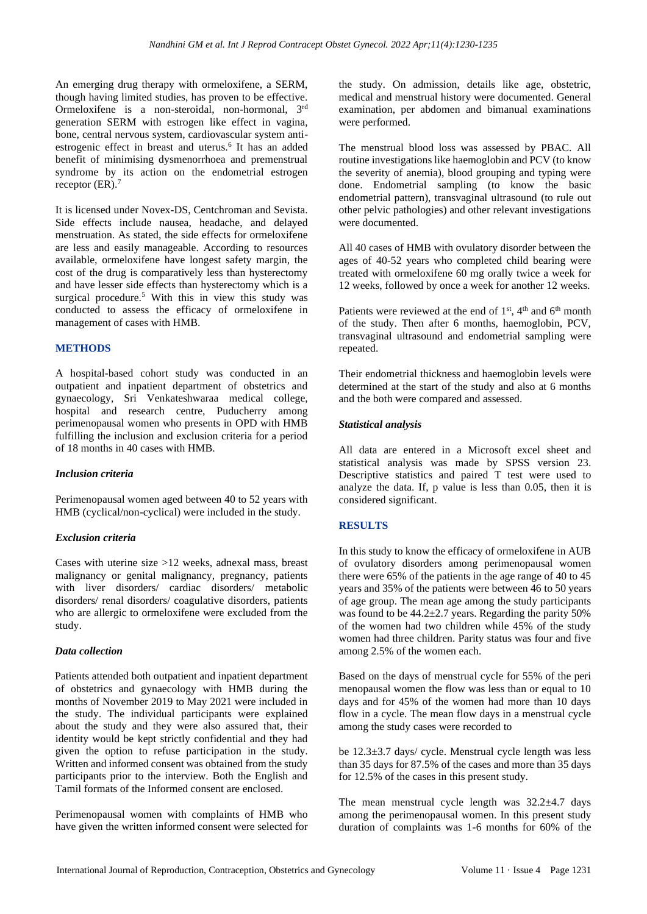An emerging drug therapy with ormeloxifene, a SERM, though having limited studies, has proven to be effective. Ormeloxifene is a non-steroidal, non-hormonal, 3rd generation SERM with estrogen like effect in vagina, bone, central nervous system, cardiovascular system antiestrogenic effect in breast and uterus.<sup>6</sup> It has an added benefit of minimising dysmenorrhoea and premenstrual syndrome by its action on the endometrial estrogen receptor  $(ER).$ <sup>7</sup>

It is licensed under Novex-DS, Centchroman and Sevista. Side effects include nausea, headache, and delayed menstruation. As stated, the side effects for ormeloxifene are less and easily manageable. According to resources available, ormeloxifene have longest safety margin, the cost of the drug is comparatively less than hysterectomy and have lesser side effects than hysterectomy which is a surgical procedure.<sup>5</sup> With this in view this study was conducted to assess the efficacy of ormeloxifene in management of cases with HMB.

## **METHODS**

A hospital-based cohort study was conducted in an outpatient and inpatient department of obstetrics and gynaecology, Sri Venkateshwaraa medical college, hospital and research centre, Puducherry among perimenopausal women who presents in OPD with HMB fulfilling the inclusion and exclusion criteria for a period of 18 months in 40 cases with HMB.

### *Inclusion criteria*

Perimenopausal women aged between 40 to 52 years with HMB (cyclical/non-cyclical) were included in the study.

### *Exclusion criteria*

Cases with uterine size >12 weeks, adnexal mass, breast malignancy or genital malignancy, pregnancy, patients with liver disorders/ cardiac disorders/ metabolic disorders/ renal disorders/ coagulative disorders, patients who are allergic to ormeloxifene were excluded from the study.

### *Data collection*

Patients attended both outpatient and inpatient department of obstetrics and gynaecology with HMB during the months of November 2019 to May 2021 were included in the study. The individual participants were explained about the study and they were also assured that, their identity would be kept strictly confidential and they had given the option to refuse participation in the study. Written and informed consent was obtained from the study participants prior to the interview. Both the English and Tamil formats of the Informed consent are enclosed.

Perimenopausal women with complaints of HMB who have given the written informed consent were selected for the study. On admission, details like age, obstetric, medical and menstrual history were documented. General examination, per abdomen and bimanual examinations were performed.

The menstrual blood loss was assessed by PBAC. All routine investigations like haemoglobin and PCV (to know the severity of anemia), blood grouping and typing were done. Endometrial sampling (to know the basic endometrial pattern), transvaginal ultrasound (to rule out other pelvic pathologies) and other relevant investigations were documented.

All 40 cases of HMB with ovulatory disorder between the ages of 40-52 years who completed child bearing were treated with ormeloxifene 60 mg orally twice a week for 12 weeks, followed by once a week for another 12 weeks.

Patients were reviewed at the end of  $1<sup>st</sup>$ ,  $4<sup>th</sup>$  and  $6<sup>th</sup>$  month of the study. Then after 6 months, haemoglobin, PCV, transvaginal ultrasound and endometrial sampling were repeated.

Their endometrial thickness and haemoglobin levels were determined at the start of the study and also at 6 months and the both were compared and assessed.

## *Statistical analysis*

All data are entered in a Microsoft excel sheet and statistical analysis was made by SPSS version 23. Descriptive statistics and paired T test were used to analyze the data. If, p value is less than 0.05, then it is considered significant.

## **RESULTS**

In this study to know the efficacy of ormeloxifene in AUB of ovulatory disorders among perimenopausal women there were 65% of the patients in the age range of 40 to 45 years and 35% of the patients were between 46 to 50 years of age group. The mean age among the study participants was found to be  $44.2 \pm 2.7$  years. Regarding the parity 50% of the women had two children while 45% of the study women had three children. Parity status was four and five among 2.5% of the women each.

Based on the days of menstrual cycle for 55% of the peri menopausal women the flow was less than or equal to 10 days and for 45% of the women had more than 10 days flow in a cycle. The mean flow days in a menstrual cycle among the study cases were recorded to

be 12.3±3.7 days/ cycle. Menstrual cycle length was less than 35 days for 87.5% of the cases and more than 35 days for 12.5% of the cases in this present study.

The mean menstrual cycle length was  $32.2 \pm 4.7$  days among the perimenopausal women. In this present study duration of complaints was 1-6 months for 60% of the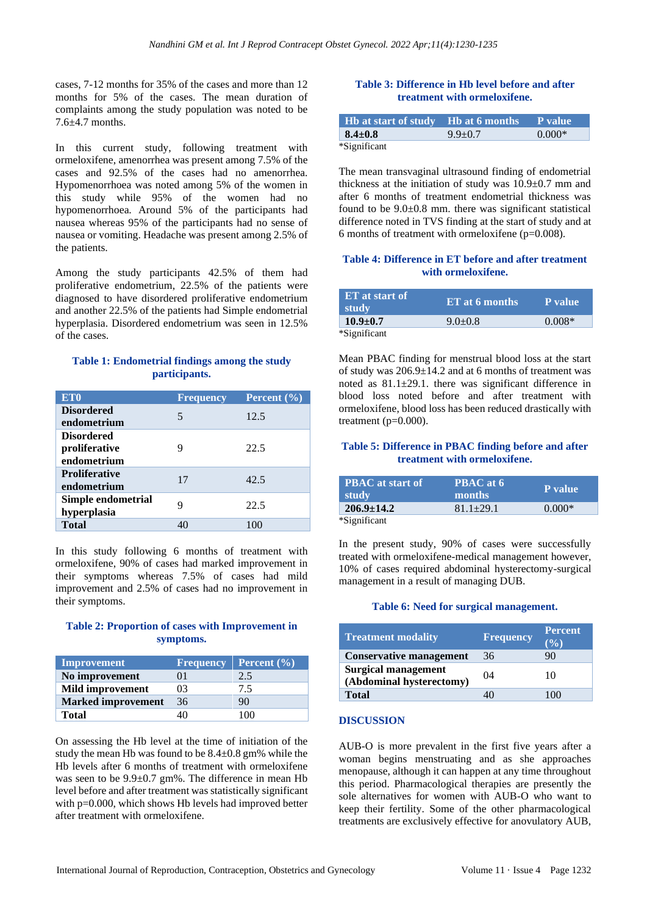cases, 7-12 months for 35% of the cases and more than 12 months for 5% of the cases. The mean duration of complaints among the study population was noted to be 7.6±4.7 months.

In this current study, following treatment with ormeloxifene, amenorrhea was present among 7.5% of the cases and 92.5% of the cases had no amenorrhea. Hypomenorrhoea was noted among 5% of the women in this study while 95% of the women had no hypomenorrhoea. Around 5% of the participants had nausea whereas 95% of the participants had no sense of nausea or vomiting. Headache was present among 2.5% of the patients.

Among the study participants 42.5% of them had proliferative endometrium, 22.5% of the patients were diagnosed to have disordered proliferative endometrium and another 22.5% of the patients had Simple endometrial hyperplasia. Disordered endometrium was seen in 12.5% of the cases.

## **Table 1: Endometrial findings among the study participants.**

| ET <sub>0</sub>                                   | <b>Frequency</b> | Percent $(\% )$ |
|---------------------------------------------------|------------------|-----------------|
| <b>Disordered</b><br>endometrium                  | 5                | 12.5            |
| <b>Disordered</b><br>proliferative<br>endometrium | 9                | 22.5            |
| <b>Proliferative</b><br>endometrium               | 17               | 42.5            |
| Simple endometrial<br>hyperplasia                 | 9                | 22.5            |
| <b>Total</b>                                      | 40               | 100             |

In this study following 6 months of treatment with ormeloxifene, 90% of cases had marked improvement in their symptoms whereas 7.5% of cases had mild improvement and 2.5% of cases had no improvement in their symptoms.

## **Table 2: Proportion of cases with Improvement in symptoms.**

| Improvement               | Frequency | <b>Percent</b> $(\frac{6}{6})$ |
|---------------------------|-----------|--------------------------------|
| No improvement            | 01        | 2.5                            |
| <b>Mild improvement</b>   | 03        | 7.5                            |
| <b>Marked improvement</b> | 36        | 90                             |
| <b>Total</b>              |           | $100 -$                        |

On assessing the Hb level at the time of initiation of the study the mean Hb was found to be 8.4±0.8 gm% while the Hb levels after 6 months of treatment with ormeloxifene was seen to be 9.9±0.7 gm%. The difference in mean Hb level before and after treatment was statistically significant with p=0.000, which shows Hb levels had improved better after treatment with ormeloxifene.

## **Table 3: Difference in Hb level before and after treatment with ormeloxifene.**

| <b>If Hb at start of study IID at 6 months P</b> value |               |          |
|--------------------------------------------------------|---------------|----------|
| $8.4 \pm 0.8$                                          | $9.9 \pm 0.7$ | $0.000*$ |
| *Significant                                           |               |          |

The mean transvaginal ultrasound finding of endometrial thickness at the initiation of study was  $10.9 \pm 0.7$  mm and after 6 months of treatment endometrial thickness was found to be 9.0±0.8 mm. there was significant statistical difference noted in TVS finding at the start of study and at 6 months of treatment with ormeloxifene  $(p=0.008)$ .

#### **Table 4: Difference in ET before and after treatment with ormeloxifene.**

| ET at start of<br>study | ET at 6 months | P value  |
|-------------------------|----------------|----------|
| $10.9 \pm 0.7$          | $9.0 + 0.8$    | $0.008*$ |
| *Significant            |                |          |

Mean PBAC finding for menstrual blood loss at the start of study was 206.9±14.2 and at 6 months of treatment was noted as 81.1±29.1. there was significant difference in blood loss noted before and after treatment with ormeloxifene, blood loss has been reduced drastically with treatment (p=0.000).

### **Table 5: Difference in PBAC finding before and after treatment with ormeloxifene.**

| <b>PBAC</b> at start of<br><b>study</b> | PBAC at 6<br>months | P value  |
|-----------------------------------------|---------------------|----------|
| $206.9 \pm 14.2$                        | $81.1 \pm 29.1$     | $0.000*$ |
| $*$ C $:$ $$ $:$ C $$ $*$               |                     |          |

\*Significant

In the present study, 90% of cases were successfully treated with ormeloxifene-medical management however, 10% of cases required abdominal hysterectomy-surgical management in a result of managing DUB.

### **Table 6: Need for surgical management.**

| <b>Treatment modality</b>                              | <b>Frequency</b> | <b>Percent</b><br>(%) |
|--------------------------------------------------------|------------------|-----------------------|
| <b>Conservative management</b>                         | 36               | 90                    |
| <b>Surgical management</b><br>(Abdominal hysterectomy) | 04               | 10                    |
| <b>Total</b>                                           | 10               | (0()                  |

## **DISCUSSION**

AUB-O is more prevalent in the first five years after a woman begins menstruating and as she approaches menopause, although it can happen at any time throughout this period. Pharmacological therapies are presently the sole alternatives for women with AUB-O who want to keep their fertility. Some of the other pharmacological treatments are exclusively effective for anovulatory AUB,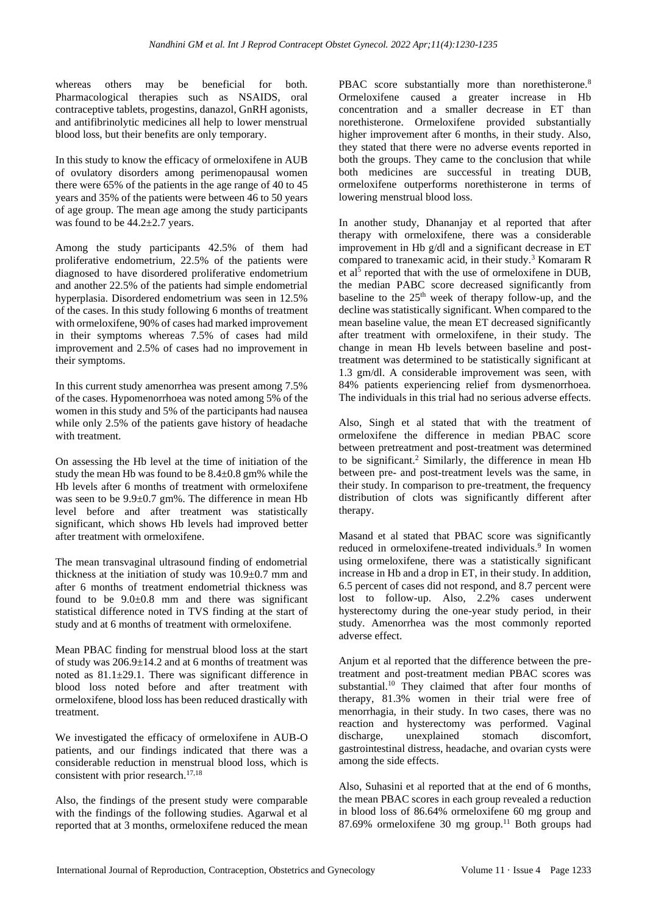whereas others may be beneficial for both. Pharmacological therapies such as NSAIDS, oral contraceptive tablets, progestins, danazol, GnRH agonists, and antifibrinolytic medicines all help to lower menstrual blood loss, but their benefits are only temporary.

In this study to know the efficacy of ormeloxifene in AUB of ovulatory disorders among perimenopausal women there were 65% of the patients in the age range of 40 to 45 years and 35% of the patients were between 46 to 50 years of age group. The mean age among the study participants was found to be  $44.2 \pm 2.7$  years.

Among the study participants 42.5% of them had proliferative endometrium, 22.5% of the patients were diagnosed to have disordered proliferative endometrium and another 22.5% of the patients had simple endometrial hyperplasia. Disordered endometrium was seen in 12.5% of the cases. In this study following 6 months of treatment with ormeloxifene, 90% of cases had marked improvement in their symptoms whereas 7.5% of cases had mild improvement and 2.5% of cases had no improvement in their symptoms.

In this current study amenorrhea was present among 7.5% of the cases. Hypomenorrhoea was noted among 5% of the women in this study and 5% of the participants had nausea while only 2.5% of the patients gave history of headache with treatment.

On assessing the Hb level at the time of initiation of the study the mean Hb was found to be 8.4±0.8 gm% while the Hb levels after 6 months of treatment with ormeloxifene was seen to be 9.9±0.7 gm%. The difference in mean Hb level before and after treatment was statistically significant, which shows Hb levels had improved better after treatment with ormeloxifene.

The mean transvaginal ultrasound finding of endometrial thickness at the initiation of study was  $10.9\pm0.7$  mm and after 6 months of treatment endometrial thickness was found to be  $9.0\pm0.8$  mm and there was significant statistical difference noted in TVS finding at the start of study and at 6 months of treatment with ormeloxifene.

Mean PBAC finding for menstrual blood loss at the start of study was 206.9±14.2 and at 6 months of treatment was noted as 81.1±29.1. There was significant difference in blood loss noted before and after treatment with ormeloxifene, blood loss has been reduced drastically with treatment.

We investigated the efficacy of ormeloxifene in AUB-O patients, and our findings indicated that there was a considerable reduction in menstrual blood loss, which is consistent with prior research.<sup>17,18</sup>

Also, the findings of the present study were comparable with the findings of the following studies. Agarwal et al reported that at 3 months, ormeloxifene reduced the mean PBAC score substantially more than norethisterone.<sup>8</sup> Ormeloxifene caused a greater increase in Hb concentration and a smaller decrease in ET than norethisterone. Ormeloxifene provided substantially higher improvement after 6 months, in their study. Also, they stated that there were no adverse events reported in both the groups. They came to the conclusion that while both medicines are successful in treating DUB, ormeloxifene outperforms norethisterone in terms of lowering menstrual blood loss.

In another study, Dhananjay et al reported that after therapy with ormeloxifene, there was a considerable improvement in Hb g/dl and a significant decrease in ET compared to tranexamic acid, in their study.<sup>3</sup> Komaram R et al<sup>5</sup> reported that with the use of ormeloxifene in DUB, the median PABC score decreased significantly from baseline to the  $25<sup>th</sup>$  week of therapy follow-up, and the decline was statistically significant. When compared to the mean baseline value, the mean ET decreased significantly after treatment with ormeloxifene, in their study. The change in mean Hb levels between baseline and posttreatment was determined to be statistically significant at 1.3 gm/dl. A considerable improvement was seen, with 84% patients experiencing relief from dysmenorrhoea. The individuals in this trial had no serious adverse effects.

Also, Singh et al stated that with the treatment of ormeloxifene the difference in median PBAC score between pretreatment and post-treatment was determined to be significant.<sup>2</sup> Similarly, the difference in mean Hb between pre- and post-treatment levels was the same, in their study. In comparison to pre-treatment, the frequency distribution of clots was significantly different after therapy.

Masand et al stated that PBAC score was significantly reduced in ormeloxifene-treated individuals.<sup>9</sup> In women using ormeloxifene, there was a statistically significant increase in Hb and a drop in ET, in their study. In addition, 6.5 percent of cases did not respond, and 8.7 percent were lost to follow-up. Also, 2.2% cases underwent hysterectomy during the one-year study period, in their study. Amenorrhea was the most commonly reported adverse effect.

Anjum et al reported that the difference between the pretreatment and post-treatment median PBAC scores was substantial.<sup>10</sup> They claimed that after four months of therapy, 81.3% women in their trial were free of menorrhagia, in their study. In two cases, there was no reaction and hysterectomy was performed. Vaginal discharge, unexplained stomach discomfort, gastrointestinal distress, headache, and ovarian cysts were among the side effects.

Also, Suhasini et al reported that at the end of 6 months, the mean PBAC scores in each group revealed a reduction in blood loss of 86.64% ormeloxifene 60 mg group and 87.69% ormeloxifene 30 mg group.<sup>11</sup> Both groups had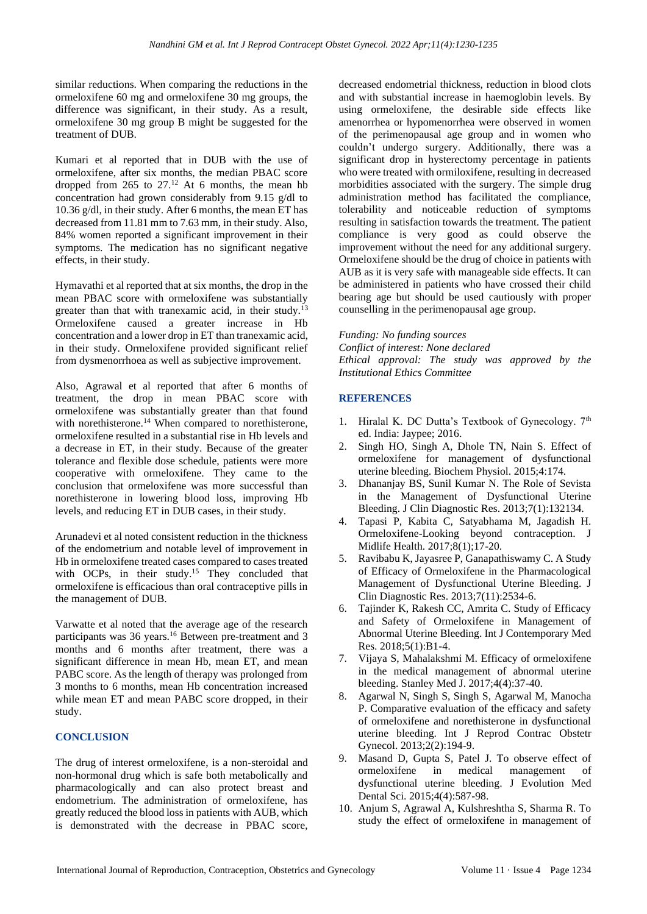similar reductions. When comparing the reductions in the ormeloxifene 60 mg and ormeloxifene 30 mg groups, the difference was significant, in their study. As a result, ormeloxifene 30 mg group B might be suggested for the treatment of DUB.

Kumari et al reported that in DUB with the use of ormeloxifene, after six months, the median PBAC score dropped from 265 to  $27<sup>12</sup>$  At 6 months, the mean hb concentration had grown considerably from 9.15 g/dl to 10.36 g/dl, in their study. After 6 months, the mean ET has decreased from 11.81 mm to 7.63 mm, in their study. Also, 84% women reported a significant improvement in their symptoms. The medication has no significant negative effects, in their study.

Hymavathi et al reported that at six months, the drop in the mean PBAC score with ormeloxifene was substantially greater than that with tranexamic acid, in their study.<sup>13</sup> Ormeloxifene caused a greater increase in Hb concentration and a lower drop in ET than tranexamic acid, in their study. Ormeloxifene provided significant relief from dysmenorrhoea as well as subjective improvement.

Also, Agrawal et al reported that after 6 months of treatment, the drop in mean PBAC score with ormeloxifene was substantially greater than that found with norethisterone.<sup>14</sup> When compared to norethisterone, ormeloxifene resulted in a substantial rise in Hb levels and a decrease in ET, in their study. Because of the greater tolerance and flexible dose schedule, patients were more cooperative with ormeloxifene. They came to the conclusion that ormeloxifene was more successful than norethisterone in lowering blood loss, improving Hb levels, and reducing ET in DUB cases, in their study.

Arunadevi et al noted consistent reduction in the thickness of the endometrium and notable level of improvement in Hb in ormeloxifene treated cases compared to cases treated with OCPs, in their study.<sup>15</sup> They concluded that ormeloxifene is efficacious than oral contraceptive pills in the management of DUB.

Varwatte et al noted that the average age of the research participants was 36 years.<sup>16</sup> Between pre-treatment and 3 months and 6 months after treatment, there was a significant difference in mean Hb, mean ET, and mean PABC score. As the length of therapy was prolonged from 3 months to 6 months, mean Hb concentration increased while mean ET and mean PABC score dropped, in their study.

## **CONCLUSION**

The drug of interest ormeloxifene, is a non-steroidal and non-hormonal drug which is safe both metabolically and pharmacologically and can also protect breast and endometrium. The administration of ormeloxifene, has greatly reduced the blood loss in patients with AUB, which is demonstrated with the decrease in PBAC score, decreased endometrial thickness, reduction in blood clots and with substantial increase in haemoglobin levels. By using ormeloxifene, the desirable side effects like amenorrhea or hypomenorrhea were observed in women of the perimenopausal age group and in women who couldn't undergo surgery. Additionally, there was a significant drop in hysterectomy percentage in patients who were treated with ormiloxifene, resulting in decreased morbidities associated with the surgery. The simple drug administration method has facilitated the compliance, tolerability and noticeable reduction of symptoms resulting in satisfaction towards the treatment. The patient compliance is very good as could observe the improvement without the need for any additional surgery. Ormeloxifene should be the drug of choice in patients with AUB as it is very safe with manageable side effects. It can be administered in patients who have crossed their child bearing age but should be used cautiously with proper counselling in the perimenopausal age group.

*Funding: No funding sources Conflict of interest: None declared Ethical approval: The study was approved by the Institutional Ethics Committee*

### **REFERENCES**

- 1. Hiralal K. DC Dutta's Textbook of Gynecology. 7<sup>th</sup> ed. India: Jaypee; 2016.
- 2. Singh HO, Singh A, Dhole TN, Nain S. Effect of ormeloxifene for management of dysfunctional uterine bleeding. Biochem Physiol. 2015;4:174.
- 3. Dhananjay BS, Sunil Kumar N. The Role of Sevista in the Management of Dysfunctional Uterine Bleeding. J Clin Diagnostic Res. 2013;7(1):132134.
- 4. Tapasi P, Kabita C, Satyabhama M, Jagadish H. Ormeloxifene-Looking beyond contraception. J Midlife Health. 2017;8(1);17-20.
- 5. Ravibabu K, Jayasree P, Ganapathiswamy C. A Study of Efficacy of Ormeloxifene in the Pharmacological Management of Dysfunctional Uterine Bleeding. J Clin Diagnostic Res. 2013;7(11):2534-6.
- 6. Tajinder K, Rakesh CC, Amrita C. Study of Efficacy and Safety of Ormeloxifene in Management of Abnormal Uterine Bleeding. Int J Contemporary Med Res. 2018;5(1):B1-4.
- 7. Vijaya S, Mahalakshmi M. Efficacy of ormeloxifene in the medical management of abnormal uterine bleeding. Stanley Med J. 2017;4(4):37-40.
- 8. Agarwal N, Singh S, Singh S, Agarwal M, Manocha P. Comparative evaluation of the efficacy and safety of ormeloxifene and norethisterone in dysfunctional uterine bleeding. Int J Reprod Contrac Obstetr Gynecol. 2013;2(2):194-9.
- 9. Masand D, Gupta S, Patel J. To observe effect of ormeloxifene in medical management of dysfunctional uterine bleeding. J Evolution Med Dental Sci. 2015;4(4):587-98.
- 10. Anjum S, Agrawal A, Kulshreshtha S, Sharma R. To study the effect of ormeloxifene in management of